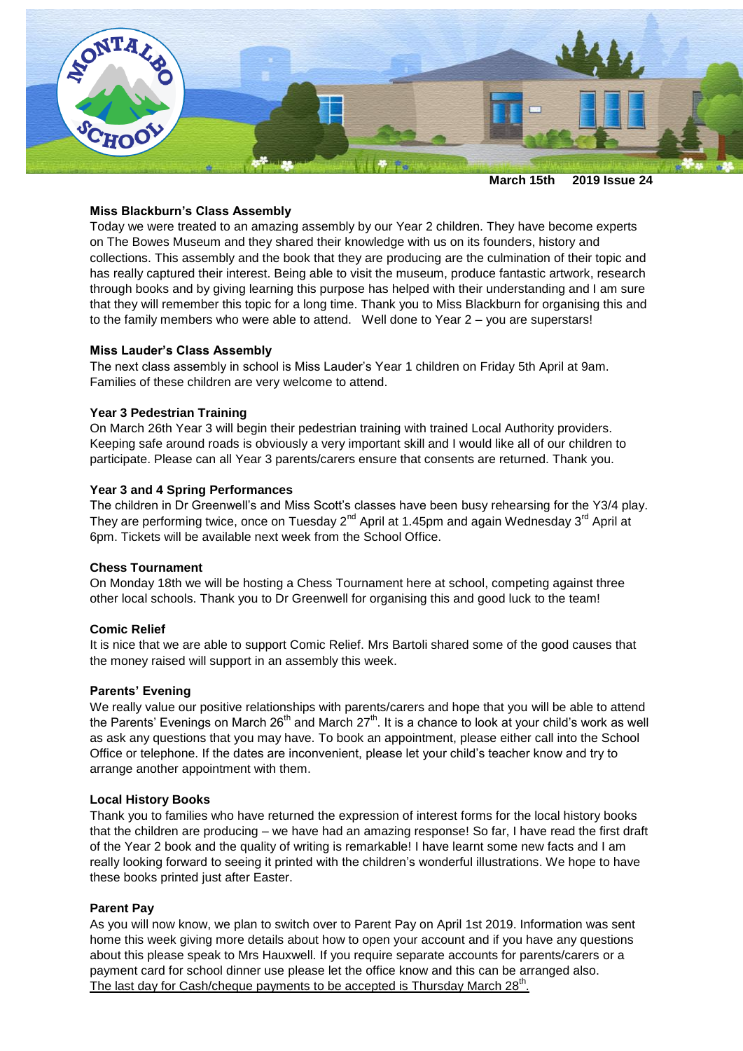

**March 15th 2019 Issue 24**

## **Miss Blackburn's Class Assembly**

Today we were treated to an amazing assembly by our Year 2 children. They have become experts on The Bowes Museum and they shared their knowledge with us on its founders, history and collections. This assembly and the book that they are producing are the culmination of their topic and has really captured their interest. Being able to visit the museum, produce fantastic artwork, research through books and by giving learning this purpose has helped with their understanding and I am sure that they will remember this topic for a long time. Thank you to Miss Blackburn for organising this and to the family members who were able to attend. Well done to Year 2 – you are superstars!

#### **Miss Lauder's Class Assembly**

The next class assembly in school is Miss Lauder's Year 1 children on Friday 5th April at 9am. Families of these children are very welcome to attend.

## **Year 3 Pedestrian Training**

On March 26th Year 3 will begin their pedestrian training with trained Local Authority providers. Keeping safe around roads is obviously a very important skill and I would like all of our children to participate. Please can all Year 3 parents/carers ensure that consents are returned. Thank you.

#### **Year 3 and 4 Spring Performances**

The children in Dr Greenwell's and Miss Scott's classes have been busy rehearsing for the Y3/4 play. They are performing twice, once on Tuesday  $2^{nd}$  April at 1.45pm and again Wednesday  $3^{rd}$  April at 6pm. Tickets will be available next week from the School Office.

#### **Chess Tournament**

On Monday 18th we will be hosting a Chess Tournament here at school, competing against three other local schools. Thank you to Dr Greenwell for organising this and good luck to the team!

## **Comic Relief**

It is nice that we are able to support Comic Relief. Mrs Bartoli shared some of the good causes that the money raised will support in an assembly this week.

#### **Parents' Evening**

We really value our positive relationships with parents/carers and hope that you will be able to attend the Parents' Evenings on March 26 $^{\text{th}}$  and March 27 $^{\text{th}}$ . It is a chance to look at your child's work as well as ask any questions that you may have. To book an appointment, please either call into the School Office or telephone. If the dates are inconvenient, please let your child's teacher know and try to arrange another appointment with them.

#### **Local History Books**

Thank you to families who have returned the expression of interest forms for the local history books that the children are producing – we have had an amazing response! So far, I have read the first draft of the Year 2 book and the quality of writing is remarkable! I have learnt some new facts and I am really looking forward to seeing it printed with the children's wonderful illustrations. We hope to have these books printed just after Easter.

#### **Parent Pay**

As you will now know, we plan to switch over to Parent Pay on April 1st 2019. Information was sent home this week giving more details about how to open your account and if you have any questions about this please speak to Mrs Hauxwell. If you require separate accounts for parents/carers or a payment card for school dinner use please let the office know and this can be arranged also. The last day for Cash/cheque payments to be accepted is Thursday March 28<sup>th</sup>.